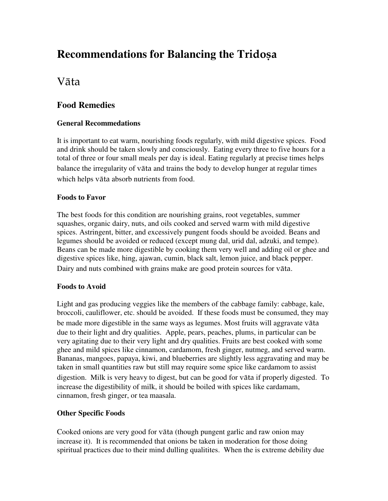# **Recommendations for Balancing the Tridosa**

# Väta

### **Food Remedies**

#### **General Recommedations**

It is important to eat warm, nourishing foods regularly, with mild digestive spices. Food and drink should be taken slowly and consciously. Eating every three to five hours for a total of three or four small meals per day is ideal. Eating regularly at precise times helps balance the irregularity of väta and trains the body to develop hunger at regular times which helps väta absorb nutrients from food.

#### **Foods to Favor**

The best foods for this condition are nourishing grains, root vegetables, summer squashes, organic dairy, nuts, and oils cooked and served warm with mild digestive spices. Astringent, bitter, and excessively pungent foods should be avoided. Beans and legumes should be avoided or reduced (except mung dal, urid dal, adzuki, and tempe). Beans can be made more digestible by cooking them very well and adding oil or ghee and digestive spices like, hing, ajawan, cumin, black salt, lemon juice, and black pepper. Dairy and nuts combined with grains make are good protein sources for väta.

#### **Foods to Avoid**

Light and gas producing veggies like the members of the cabbage family: cabbage, kale, broccoli, cauliflower, etc. should be avoided. If these foods must be consumed, they may be made more digestible in the same ways as legumes. Most fruits will aggravate väta due to their light and dry qualities. Apple, pears, peaches, plums, in particular can be very agitating due to their very light and dry qualities. Fruits are best cooked with some ghee and mild spices like cinnamon, cardamom, fresh ginger, nutmeg, and served warm. Bananas, mangoes, papaya, kiwi, and blueberries are slightly less aggravating and may be taken in small quantities raw but still may require some spice like cardamom to assist digestion. Milk is very heavy to digest, but can be good for väta if properly digested. To increase the digestibility of milk, it should be boiled with spices like cardamam, cinnamon, fresh ginger, or tea maasala.

### **Other Specific Foods**

Cooked onions are very good for väta (though pungent garlic and raw onion may increase it). It is recommended that onions be taken in moderation for those doing spiritual practices due to their mind dulling qualitites. When the is extreme debility due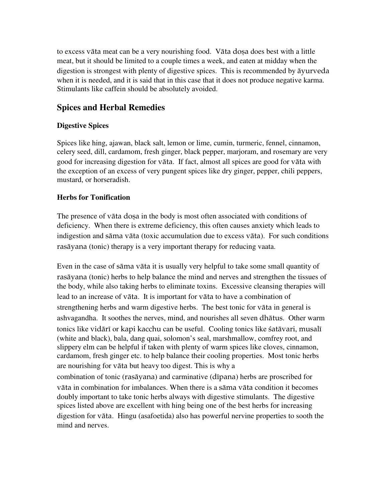to excess vāta meat can be a very nourishing food. Vāta dosa does best with a little meat, but it should be limited to a couple times a week, and eaten at midday when the digestion is strongest with plenty of digestive spices. This is recommended by äyurveda when it is needed, and it is said that in this case that it does not produce negative karma. Stimulants like caffein should be absolutely avoided.

### **Spices and Herbal Remedies**

#### **Digestive Spices**

Spices like hing, ajawan, black salt, lemon or lime, cumin, turmeric, fennel, cinnamon, celery seed, dill, cardamom, fresh ginger, black pepper, marjoram, and rosemary are very good for increasing digestion for väta. If fact, almost all spices are good for väta with the exception of an excess of very pungent spices like dry ginger, pepper, chili peppers, mustard, or horseradish.

#### **Herbs for Tonification**

The presence of vāta dosa in the body is most often associated with conditions of deficiency. When there is extreme deficiency, this often causes anxiety which leads to indigestion and säma väta (toxic accumulation due to excess väta). For such conditions rasäyana (tonic) therapy is a very important therapy for reducing vaata.

Even in the case of säma väta it is usually very helpful to take some small quantity of rasäyana (tonic) herbs to help balance the mind and nerves and strengthen the tissues of the body, while also taking herbs to eliminate toxins. Excessive cleansing therapies will lead to an increase of väta. It is important for väta to have a combination of strengthening herbs and warm digestive herbs. The best tonic for väta in general is ashvagandha. It soothes the nerves, mind, and nourishes all seven dhätus. Other warm tonics like vidārī or kapi kacchu can be useful. Cooling tonics like satāvari, musalī (white and black), bala, dang quai, solomon's seal, marshmallow, comfrey root, and slippery elm can be helpful if taken with plenty of warm spices like cloves, cinnamon, cardamom, fresh ginger etc. to help balance their cooling properties. Most tonic herbs are nourishing for väta but heavy too digest. This is why a

combination of tonic (rasāyana) and carminative (dīpana) herbs are proscribed for väta in combination for imbalances. When there is a säma väta condition it becomes doubly important to take tonic herbs always with digestive stimulants. The digestive spices listed above are excellent with hing being one of the best herbs for increasing digestion for väta. Hingu (asafoetida) also has powerful nervine properties to sooth the mind and nerves.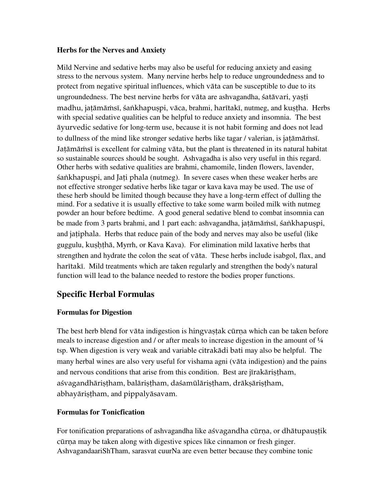#### **Herbs for the Nerves and Anxiety**

Mild Nervine and sedative herbs may also be useful for reducing anxiety and easing stress to the nervous system. Many nervine herbs help to reduce ungroundedness and to protect from negative spiritual influences, which väta can be susceptible to due to its ungroundedness. The best nervine herbs for vāta are ashvagandha, śatāvari, yașți madhu, jatāmāmsī, śaṅkhapuṣpi, vāca, brahmi, harītakī, nutmeg, and kuṣṭha. Herbs with special sedative qualities can be helpful to reduce anxiety and insomnia. The best äyurvedic sedative for long-term use, because it is not habit forming and does not lead to dullness of the mind like stronger sedative herbs like tagar / valerian, is jatāmāmsī. Jatāmāmsī is excellent for calming vāta, but the plant is threatened in its natural habitat so sustainable sources should be sought. Ashvagadha is also very useful in this regard. Other herbs with sedative qualities are brahmi, chamomile, linden flowers, lavender, sankhapuspi, and Jati phala (nutmeg). In severe cases when these weaker herbs are not effective stronger sedative herbs like tagar or kava kava may be used. The use of these herb should be limited though because they have a long-term effect of dulling the mind. For a sedative it is usually effective to take some warm boiled milk with nutmeg powder an hour before bedtime. A good general sedative blend to combat insomnia can be made from 3 parts brahmi, and 1 part each: ashvagandha, jatāmāmsī, śankhapuspi, and jatiphala. Herbs that reduce pain of the body and nerves may also be useful (like guggulu, kușhțhā, Myrrh, or Kava Kava). For elimination mild laxative herbs that strengthen and hydrate the colon the seat of väta. These herbs include isabgol, flax, and haritaki. Mild treatments which are taken regularly and strengthen the body's natural function will lead to the balance needed to restore the bodies proper functions.

### **Specific Herbal Formulas**

#### **Formulas for Digestion**

The best herb blend for väta indigestion is hingvastak cūrna which can be taken before meals to increase digestion and / or after meals to increase digestion in the amount of  $\frac{1}{4}$ tsp. When digestion is very weak and variable citrakädi bati may also be helpful. The many herbal wines are also very useful for vishama agni (väta indigestion) and the pains and nervous conditions that arise from this condition. Best are jīrakāristham, aśvagandhāristham, balāristham, daśamūlāristham, drākṣāriṣtham, abhayāriṣṭham, and pippalyāsavam.

### **Formulas for Tonicfication**

For tonification preparations of ashvagandha like astragandha cūrna, or dhātupaustik cūrna may be taken along with digestive spices like cinnamon or fresh ginger. AshvagandaariShTham, sarasvat cuurNa are even better because they combine tonic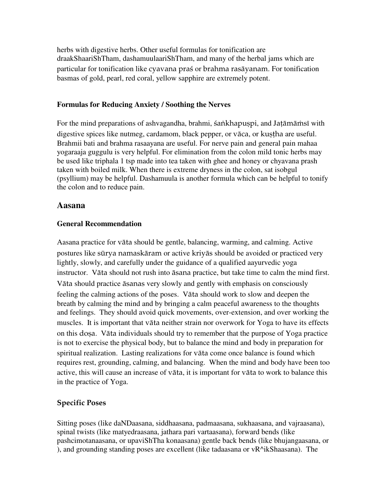herbs with digestive herbs. Other useful formulas for tonification are draakShaariShTham, dashamuulaariShTham, and many of the herbal jams which are particular for tonification like cyavana praç or brahma rasäyanam. For tonification basmas of gold, pearl, red coral, yellow sapphire are extremely potent.

#### **Formulas for Reducing Anxiety / Soothing the Nerves**

For the mind preparations of ashvagandha, brahmi, śankhapuspi, and Jatāmāmsī with digestive spices like nutmeg, cardamom, black pepper, or vāca, or kuṣṭha are useful. Brahmii bati and brahma rasaayana are useful. For nerve pain and general pain mahaa yogaraaja guggulu is very helpful. For elimination from the colon mild tonic herbs may be used like triphala 1 tsp made into tea taken with ghee and honey or chyavana prash taken with boiled milk. When there is extreme dryness in the colon, sat isobgul (psyllium) may be helpful. Dashamuula is another formula which can be helpful to tonify the colon and to reduce pain.

#### **Aasana**

#### **General Recommendation**

Aasana practice for väta should be gentle, balancing, warming, and calming. Active postures like sürya namaskäram or active kriyäs should be avoided or practiced very lightly, slowly, and carefully under the guidance of a qualified aayurvedic yoga instructor. Väta should not rush into äsana practice, but take time to calm the mind first. Väta should practice äsanas very slowly and gently with emphasis on consciously feeling the calming actions of the poses. Väta should work to slow and deepen the breath by calming the mind and by bringing a calm peaceful awareness to the thoughts and feelings. They should avoid quick movements, over-extension, and over working the muscles. It is important that väta neither strain nor overwork for Yoga to have its effects on this dosa. Vāta individuals should try to remember that the purpose of Yoga practice is not to exercise the physical body, but to balance the mind and body in preparation for spiritual realization. Lasting realizations for väta come once balance is found which requires rest, grounding, calming, and balancing. When the mind and body have been too active, this will cause an increase of väta, it is important for väta to work to balance this in the practice of Yoga.

### Specific Poses

Sitting poses (like daNDaasana, siddhaasana, padmaasana, sukhaasana, and vajraasana), spinal twists (like matyedraasana, jathara pari vartaasana), forward bends (like pashcimotanaasana, or upaviShTha konaasana) gentle back bends (like bhujangaasana, or ), and grounding standing poses are excellent (like tadaasana or vR^ikShaasana). The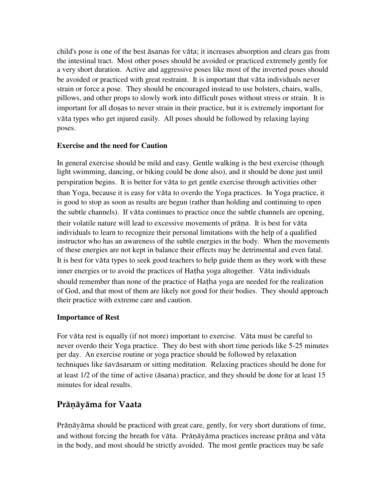child's pose is one of the best äsanas for väta; it increases absorption and clears gas from the intestinal tract. Most other poses should be avoided or practiced extremely gently for a very short duration. Active and aggressive poses like most of the inverted poses should be avoided or practiced with great restraint. It is important that väta individuals never strain or force a pose. They should be encouraged instead to use bolsters, chairs, walls, pillows, and other props to slowly work into difficult poses without stress or strain. It is important for all dosas to never strain in their practice, but it is extremely important for väta types who get injured easily. All poses should be followed by relaxing laying poses.

#### **Exercise and the need for Caution**

In general exercise should be mild and easy. Gentle walking is the best exercise (though light swimming, dancing, or biking could be done also), and it should be done just until perspiration begins. It is better for väta to get gentle exercise through activities other than Yoga, because it is easy for väta to overdo the Yoga practices. In Yoga practice, it is good to stop as soon as results are begun (rather than holding and continuing to open the subtle channels). If väta continues to practice once the subtle channels are opening, their volatile nature will lead to excessive movements of prāna. It is best for vāta individuals to learn to recognize their personal limitations with the help of a qualified instructor who has an awareness of the subtle energies in the body. When the movements of these energies are not kept in balance their effects may be detrimental and even fatal. It is best for väta types to seek good teachers to help guide them as they work with these inner energies or to avoid the practices of Hatha yoga altogether. Vāta individuals should remember than none of the practice of Hatha yoga are needed for the realization of God, and that most of them are likely not good for their bodies. They should approach their practice with extreme care and caution.

#### **Importance of Rest**

For väta rest is equally (if not more) important to exercise. Väta must be careful to never overdo their Yoga practice. They do best with short time periods like 5-25 minutes per day. An exercise routine or yoga practice should be followed by relaxation techniques like çaväsanam or sitting meditation. Relaxing practices should be done for at least 1/2 of the time of active (äsana) practice, and they should be done for at least 15 minutes for ideal results.

# **Pränäyäma for Vaata**

Pränäyäma should be practiced with great care, gently, for very short durations of time, and without forcing the breath for vāta. Prānāyāma practices increase prāna and vāta in the body, and most should be strictly avoided. The most gentle practices may be safe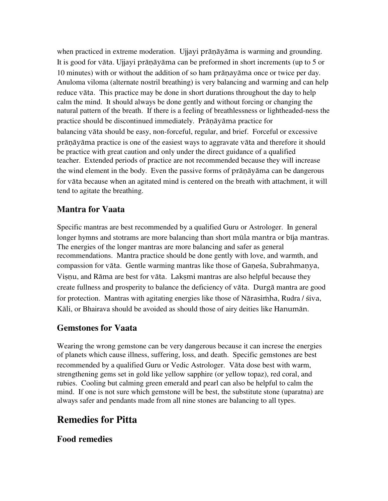when practiced in extreme moderation. Ujjayi prāņāyāma is warming and grounding. It is good for vāta. Ujjayi prāņāyāma can be preformed in short increments (up to 5 or 10 minutes) with or without the addition of so ham prāņayāma once or twice per day. Anuloma viloma (alternate nostril breathing) is very balancing and warming and can help reduce väta. This practice may be done in short durations throughout the day to help calm the mind. It should always be done gently and without forcing or changing the natural pattern of the breath. If there is a feeling of breathlessness or lightheaded-ness the practice should be discontinued immediately. Pränäyäma practice for balancing väta should be easy, non-forceful, regular, and brief. Forceful or excessive prāņāyāma practice is one of the easiest ways to aggravate vāta and therefore it should be practice with great caution and only under the direct guidance of a qualified teacher. Extended periods of practice are not recommended because they will increase the wind element in the body. Even the passive forms of pränatyama can be dangerous for väta because when an agitated mind is centered on the breath with attachment, it will tend to agitate the breathing.

### **Mantra for Vaata**

Specific mantras are best recommended by a qualified Guru or Astrologer. In general longer hymns and stotrams are more balancing than short mūla mantra or bīja mantras. The energies of the longer mantras are more balancing and safer as general recommendations. Mantra practice should be done gently with love, and warmth, and compassion for vāta. Gentle warming mantras like those of Ganesa, Subrahmanya, Vișņu, and Rāma are best for vāta. Lakșmi mantras are also helpful because they create fullness and prosperity to balance the deficiency of väta. Durgä mantra are good for protection. Mantras with agitating energies like those of Nārasimha, Rudra / siva, Käli, or Bhairava should be avoided as should those of airy deities like Hanumän.

### **Gemstones for Vaata**

Wearing the wrong gemstone can be very dangerous because it can increse the energies of planets which cause illness, suffering, loss, and death. Specific gemstones are best recommended by a qualified Guru or Vedic Astrologer. Väta dose best with warm, strengthening gems set in gold like yellow sapphire (or yellow topaz), red coral, and rubies. Cooling but calming green emerald and pearl can also be helpful to calm the mind. If one is not sure which gemstone will be best, the substitute stone (uparatna) are always safer and pendants made from all nine stones are balancing to all types.

# **Remedies for Pitta**

### **Food remedies**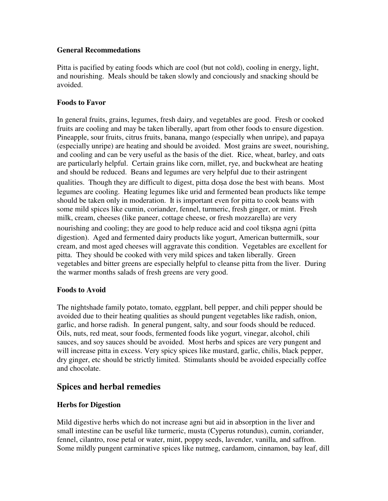#### **General Recommedations**

Pitta is pacified by eating foods which are cool (but not cold), cooling in energy, light, and nourishing. Meals should be taken slowly and conciously and snacking should be avoided.

#### **Foods to Favor**

In general fruits, grains, legumes, fresh dairy, and vegetables are good. Fresh or cooked fruits are cooling and may be taken liberally, apart from other foods to ensure digestion. Pineapple, sour fruits, citrus fruits, banana, mango (especially when unripe), and papaya (especially unripe) are heating and should be avoided. Most grains are sweet, nourishing, and cooling and can be very useful as the basis of the diet. Rice, wheat, barley, and oats are particularly helpful. Certain grains like corn, millet, rye, and buckwheat are heating and should be reduced. Beans and legumes are very helpful due to their astringent qualities. Though they are difficult to digest, pitta dosa dose the best with beans. Most legumes are cooling. Heating legumes like urid and fermented bean products like tempe should be taken only in moderation. It is important even for pitta to cook beans with some mild spices like cumin, coriander, fennel, turmeric, fresh ginger, or mint. Fresh milk, cream, cheeses (like paneer, cottage cheese, or fresh mozzarella) are very nourishing and cooling; they are good to help reduce acid and cool tiksna agni (pitta digestion). Aged and fermented dairy products like yogurt, American buttermilk, sour cream, and most aged cheeses will aggravate this condition. Vegetables are excellent for pitta. They should be cooked with very mild spices and taken liberally. Green vegetables and bitter greens are especially helpful to cleanse pitta from the liver. During the warmer months salads of fresh greens are very good.

#### **Foods to Avoid**

The nightshade family potato, tomato, eggplant, bell pepper, and chili pepper should be avoided due to their heating qualities as should pungent vegetables like radish, onion, garlic, and horse radish. In general pungent, salty, and sour foods should be reduced. Oils, nuts, red meat, sour foods, fermented foods like yogurt, vinegar, alcohol, chili sauces, and soy sauces should be avoided. Most herbs and spices are very pungent and will increase pitta in excess. Very spicy spices like mustard, garlic, chilis, black pepper, dry ginger, etc should be strictly limited. Stimulants should be avoided especially coffee and chocolate.

### **Spices and herbal remedies**

#### **Herbs for Digestion**

Mild digestive herbs which do not increase agni but aid in absorption in the liver and small intestine can be useful like turmeric, musta (Cyperus rotundus), cumin, coriander, fennel, cilantro, rose petal or water, mint, poppy seeds, lavender, vanilla, and saffron. Some mildly pungent carminative spices like nutmeg, cardamom, cinnamon, bay leaf, dill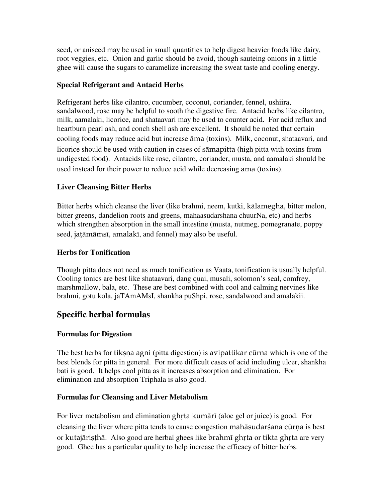seed, or aniseed may be used in small quantities to help digest heavier foods like dairy, root veggies, etc. Onion and garlic should be avoid, though sauteing onions in a little ghee will cause the sugars to caramelize increasing the sweat taste and cooling energy.

#### **Special Refrigerant and Antacid Herbs**

Refrigerant herbs like cilantro, cucumber, coconut, coriander, fennel, ushiira, sandalwood, rose may be helpful to sooth the digestive fire. Antacid herbs like cilantro, milk, aamalaki, licorice, and shataavari may be used to counter acid. For acid reflux and heartburn pearl ash, and conch shell ash are excellent. It should be noted that certain cooling foods may reduce acid but increase äma (toxins). Milk, coconut, shataavari, and licorice should be used with caution in cases of sämapitta (high pitta with toxins from undigested food). Antacids like rose, cilantro, coriander, musta, and aamalaki should be used instead for their power to reduce acid while decreasing äma (toxins).

### **Liver Cleansing Bitter Herbs**

Bitter herbs which cleanse the liver (like brahmi, neem, kutki, kälamegha, bitter melon, bitter greens, dandelion roots and greens, mahaasudarshana chuurNa, etc) and herbs which strengthen absorption in the small intestine (musta, nutmeg, pomegranate, poppy seed, jatāmāmsī, amalakī, and fennel) may also be useful.

### **Herbs for Tonification**

Though pitta does not need as much tonification as Vaata, tonification is usually helpful. Cooling tonics are best like shataavari, dang quai, musali, solomon's seal, comfrey, marshmallow, bala, etc. These are best combined with cool and calming nervines like brahmi, gotu kola, jaTAmAMsI, shankha puShpi, rose, sandalwood and amalakii.

# **Specific herbal formulas**

### **Formulas for Digestion**

The best herbs for tiksna agni (pitta digestion) is avipattikar cūrna which is one of the best blends for pitta in general. For more difficult cases of acid including ulcer, shankha bati is good. It helps cool pitta as it increases absorption and elimination. For elimination and absorption Triphala is also good.

#### **Formulas for Cleansing and Liver Metabolism**

For liver metabolism and elimination ghrta kumäri (aloe gel or juice) is good. For cleansing the liver where pitta tends to cause congestion mahāsudarsana cūrņa is best or kutajäristhä. Also good are herbal ghees like brahmi ghrta or tikta ghrta are very good. Ghee has a particular quality to help increase the efficacy of bitter herbs.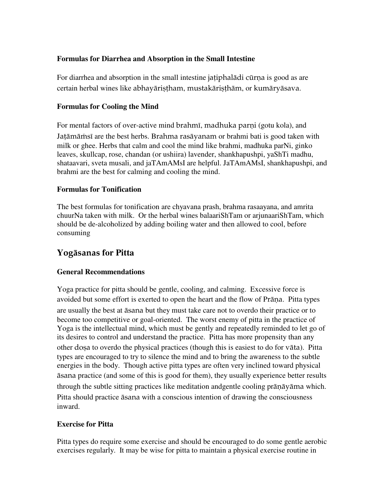#### **Formulas for Diarrhea and Absorption in the Small Intestine**

For diarrhea and absorption in the small intestine jatiphaladi curma is good as are certain herbal wines like abhayāristham, mustakāristhām, or kumāryāsava.

#### **Formulas for Cooling the Mind**

For mental factors of over-active mind brahmi, madhuka parni (gotu kola), and Jatāmāmsī are the best herbs. Brahma rasāyanam or brahmi bati is good taken with milk or ghee. Herbs that calm and cool the mind like brahmi, madhuka parNi, ginko leaves, skullcap, rose, chandan (or ushiira) lavender, shankhapushpi, yaShTi madhu, shataavari, sveta musali, and jaTAmAMsI are helpful. JaTAmAMsI, shankhapushpi, and brahmi are the best for calming and cooling the mind.

#### **Formulas for Tonification**

The best formulas for tonification are chyavana prash, brahma rasaayana, and amrita chuurNa taken with milk. Or the herbal wines balaariShTam or arjunaariShTam, which should be de-alcoholized by adding boiling water and then allowed to cool, before consuming

# **Y**ogäsanas **for Pitta**

#### **General Recommendations**

Yoga practice for pitta should be gentle, cooling, and calming. Excessive force is avoided but some effort is exerted to open the heart and the flow of Prāna. Pitta types are usually the best at äsana but they must take care not to overdo their practice or to become too competitive or goal-oriented. The worst enemy of pitta in the practice of Yoga is the intellectual mind, which must be gently and repeatedly reminded to let go of its desires to control and understand the practice. Pitta has more propensity than any other doșa to overdo the physical practices (though this is easiest to do for vāta). Pitta types are encouraged to try to silence the mind and to bring the awareness to the subtle energies in the body. Though active pitta types are often very inclined toward physical äsana practice (and some of this is good for them), they usually experience better results through the subtle sitting practices like meditation andgentle cooling pränäyäma which. Pitta should practice äsana with a conscious intention of drawing the consciousness inward.

### **Exercise for Pitta**

Pitta types do require some exercise and should be encouraged to do some gentle aerobic exercises regularly. It may be wise for pitta to maintain a physical exercise routine in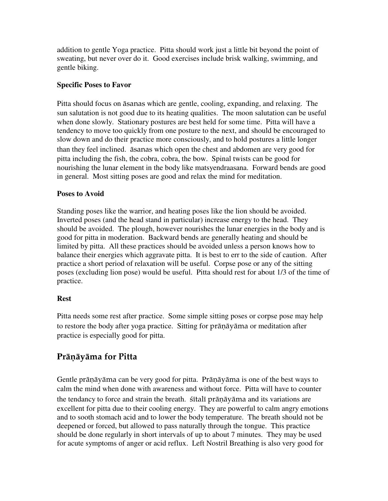addition to gentle Yoga practice. Pitta should work just a little bit beyond the point of sweating, but never over do it. Good exercises include brisk walking, swimming, and gentle biking.

#### **Specific Poses to Favor**

Pitta should focus on äsanas which are gentle, cooling, expanding, and relaxing. The sun salutation is not good due to its heating qualities. The moon salutation can be useful when done slowly. Stationary postures are best held for some time. Pitta will have a tendency to move too quickly from one posture to the next, and should be encouraged to slow down and do their practice more consciously, and to hold postures a little longer than they feel inclined. äsanas which open the chest and abdomen are very good for pitta including the fish, the cobra, cobra, the bow. Spinal twists can be good for nourishing the lunar element in the body like matsyendraasana. Forward bends are good in general. Most sitting poses are good and relax the mind for meditation.

#### **Poses to Avoid**

Standing poses like the warrior, and heating poses like the lion should be avoided. Inverted poses (and the head stand in particular) increase energy to the head. They should be avoided. The plough, however nourishes the lunar energies in the body and is good for pitta in moderation. Backward bends are generally heating and should be limited by pitta. All these practices should be avoided unless a person knows how to balance their energies which aggravate pitta. It is best to err to the side of caution. After practice a short period of relaxation will be useful. Corpse pose or any of the sitting poses (excluding lion pose) would be useful. Pitta should rest for about 1/3 of the time of practice.

### **Rest**

Pitta needs some rest after practice. Some simple sitting poses or corpse pose may help to restore the body after yoga practice. Sitting for prāņāyāma or meditation after practice is especially good for pitta.

# **Pränäyäma for Pitta**

Gentle präņāyāma can be very good for pitta. Prāņāyāma is one of the best ways to calm the mind when done with awareness and without force. Pitta will have to counter the tendancy to force and strain the breath. Sitali pränäyäma and its variations are excellent for pitta due to their cooling energy. They are powerful to calm angry emotions and to sooth stomach acid and to lower the body temperature. The breath should not be deepened or forced, but allowed to pass naturally through the tongue. This practice should be done regularly in short intervals of up to about 7 minutes. They may be used for acute symptoms of anger or acid reflux. Left Nostril Breathing is also very good for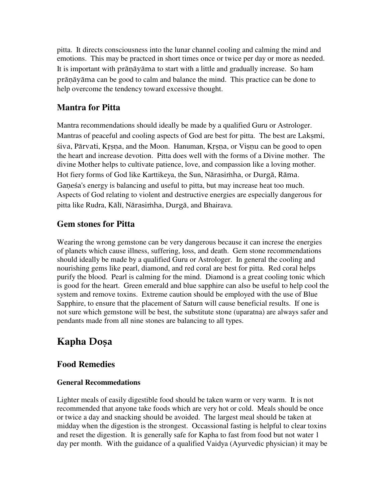pitta. It directs consciousness into the lunar channel cooling and calming the mind and emotions. This may be practced in short times once or twice per day or more as needed. It is important with prāņāyāma to start with a little and gradually increase. So ham prāņāyāma can be good to calm and balance the mind. This practice can be done to help overcome the tendency toward excessive thought.

# **Mantra for Pitta**

Mantra recommendations should ideally be made by a qualified Guru or Astrologer. Mantras of peaceful and cooling aspects of God are best for pitta. The best are Laksmi, šiva, Pärvati, Krsna, and the Moon. Hanuman, Krsna, or Visnu can be good to open the heart and increase devotion. Pitta does well with the forms of a Divine mother. The divine Mother helps to cultivate patience, love, and compassion like a loving mother. Hot fiery forms of God like Karttikeya, the Sun, Nārasimha, or Durgā, Rāma. Ganesa's energy is balancing and useful to pitta, but may increase heat too much. Aspects of God relating to violent and destructive energies are especially dangerous for pitta like Rudra, Kālī, Nārasimha, Durgā, and Bhairava.

# **Gem stones for Pitta**

Wearing the wrong gemstone can be very dangerous because it can increse the energies of planets which cause illness, suffering, loss, and death. Gem stone recommendations should ideally be made by a qualified Guru or Astrologer. In general the cooling and nourishing gems like pearl, diamond, and red coral are best for pitta. Red coral helps purify the blood. Pearl is calming for the mind. Diamond is a great cooling tonic which is good for the heart. Green emerald and blue sapphire can also be useful to help cool the system and remove toxins. Extreme caution should be employed with the use of Blue Sapphire, to ensure that the placement of Saturn will cause beneficial results. If one is not sure which gemstone will be best, the substitute stone (uparatna) are always safer and pendants made from all nine stones are balancing to all types.

# **Kapha Doșa**

# **Food Remedies**

### **General Recommedations**

Lighter meals of easily digestible food should be taken warm or very warm. It is not recommended that anyone take foods which are very hot or cold. Meals should be once or twice a day and snacking should be avoided. The largest meal should be taken at midday when the digestion is the strongest. Occassional fasting is helpful to clear toxins and reset the digestion. It is generally safe for Kapha to fast from food but not water 1 day per month. With the guidance of a qualified Vaidya (Ayurvedic physician) it may be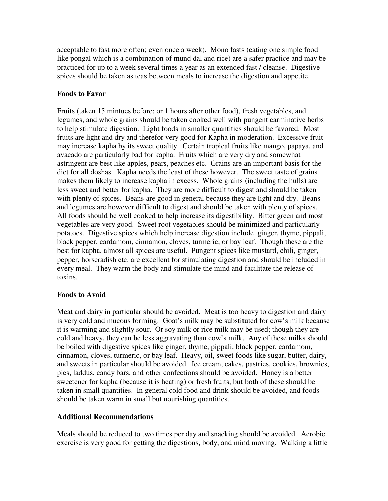acceptable to fast more often; even once a week). Mono fasts (eating one simple food like pongal which is a combination of mund dal and rice) are a safer practice and may be practiced for up to a week several times a year as an extended fast / cleanse. Digestive spices should be taken as teas between meals to increase the digestion and appetite.

#### **Foods to Favor**

Fruits (taken 15 mintues before; or 1 hours after other food), fresh vegetables, and legumes, and whole grains should be taken cooked well with pungent carminative herbs to help stimulate digestion. Light foods in smaller quantities should be favored. Most fruits are light and dry and therefor very good for Kapha in moderation. Excessive fruit may increase kapha by its sweet quality. Certain tropical fruits like mango, papaya, and avacado are particularly bad for kapha. Fruits which are very dry and somewhat astringent are best like apples, pears, peaches etc. Grains are an important basis for the diet for all doshas. Kapha needs the least of these however. The sweet taste of grains makes them likely to increase kapha in excess. Whole grains (including the hulls) are less sweet and better for kapha. They are more difficult to digest and should be taken with plenty of spices. Beans are good in general because they are light and dry. Beans and legumes are however difficult to digest and should be taken with plenty of spices. All foods should be well cooked to help increase its digestibility. Bitter green and most vegetables are very good. Sweet root vegetables should be minimized and particularly potatoes. Digestive spices which help increase digestion include ginger, thyme, pippali, black pepper, cardamom, cinnamon, cloves, turmeric, or bay leaf. Though these are the best for kapha, almost all spices are useful. Pungent spices like mustard, chili, ginger, pepper, horseradish etc. are excellent for stimulating digestion and should be included in every meal. They warm the body and stimulate the mind and facilitate the release of toxins.

#### **Foods to Avoid**

Meat and dairy in particular should be avoided. Meat is too heavy to digestion and dairy is very cold and mucous forming. Goat's milk may be substituted for cow's milk because it is warming and slightly sour. Or soy milk or rice milk may be used; though they are cold and heavy, they can be less aggravating than cow's milk. Any of these milks should be boiled with digestive spices like ginger, thyme, pippali, black pepper, cardamom, cinnamon, cloves, turmeric, or bay leaf. Heavy, oil, sweet foods like sugar, butter, dairy, and sweets in particular should be avoided. Ice cream, cakes, pastries, cookies, brownies, pies, laddus, candy bars, and other confections should be avoided. Honey is a better sweetener for kapha (because it is heating) or fresh fruits, but both of these should be taken in small quantities. In general cold food and drink should be avoided, and foods should be taken warm in small but nourishing quantities.

#### **Additional Recommendations**

Meals should be reduced to two times per day and snacking should be avoided. Aerobic exercise is very good for getting the digestions, body, and mind moving. Walking a little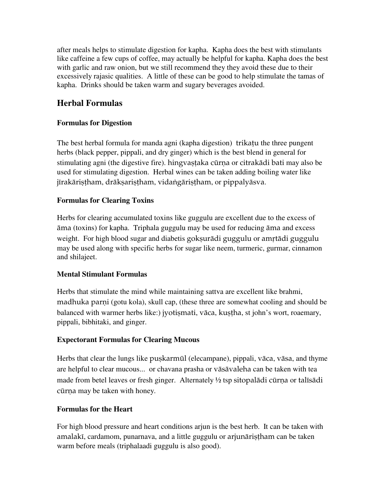after meals helps to stimulate digestion for kapha. Kapha does the best with stimulants like caffeine a few cups of coffee, may actually be helpful for kapha. Kapha does the best with garlic and raw onion, but we still recommend they they avoid these due to their excessively rajasic qualities. A little of these can be good to help stimulate the tamas of kapha. Drinks should be taken warm and sugary beverages avoided.

# **Herbal Formulas**

#### **Formulas for Digestion**

The best herbal formula for manda agni (kapha digestion) trikatu the three pungent herbs (black pepper, pippali, and dry ginger) which is the best blend in general for stimulating agni (the digestive fire). hingvastaka cūrna or citrakādi bati may also be used for stimulating digestion. Herbal wines can be taken adding boiling water like jīrakāriṣṭham, drākṣariṣṭham, vidaṅgāriṣṭham, or pippalyāsva.

#### **Formulas for Clearing Toxins**

Herbs for clearing accumulated toxins like guggulu are excellent due to the excess of äma (toxins) for kapha. Triphala guggulu may be used for reducing äma and excess weight. For high blood sugar and diabetis goksurādi guggulu or amrtādi guggulu may be used along with specific herbs for sugar like neem, turmeric, gurmar, cinnamon and shilajeet.

#### **Mental Stimulant Formulas**

Herbs that stimulate the mind while maintaining sattva are excellent like brahmi, madhuka parni (gotu kola), skull cap, (these three are somewhat cooling and should be balanced with warmer herbs like:) jyotismati, vāca, kustha, st john's wort, roaemary, pippali, bibhitaki, and ginger.

#### **Expectorant Formulas for Clearing Mucous**

Herbs that clear the lungs like puskarmūl (elecampane), pippali, vāca, vāsa, and thyme are helpful to clear mucous... or chavana prasha or väsävaleha can be taken with tea made from betel leaves or fresh ginger. Alternately  $\frac{1}{2}$  tsp sitopalādi cūrna or talīsādi cūrna may be taken with honey.

#### **Formulas for the Heart**

For high blood pressure and heart conditions arjun is the best herb. It can be taken with amalakī, cardamom, punarnava, and a little guggulu or arjunāristham can be taken warm before meals (triphalaadi guggulu is also good).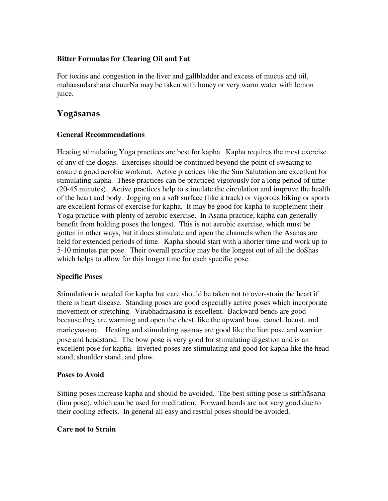#### **Bitter Formulas for Clearing Oil and Fat**

For toxins and congestion in the liver and gallbladder and excess of mucus and oil, mahaasudarshana chuurNa may be taken with honey or very warm water with lemon juice.

### **Y**ogäsanas

#### **General Recommendations**

Heating stimulating Yoga practices are best for kapha. Kapha requires the most exercise of any of the dosas. Exercises should be continued beyond the point of sweating to ensure a good aerobic workout. Active practices like the Sun Salutation are excellent for stimulating kapha. These practices can be practiced vigorously for a long period of time (20-45 minutes). Active practices help to stimulate the circulation and improve the health of the heart and body. Jogging on a soft surface (like a track) or vigorous biking or sports are excellent forms of exercise for kapha. It may be good for kapha to supplement their Yoga practice with plenty of aerobic exercise. In Asana practice, kapha can generally benefit from holding poses the longest. This is not aerobic exercise, which must be gotten in other ways, but it does stimulate and open the channels when the Asanas are held for extended periods of time. Kapha should start with a shorter time and work up to 5-10 minutes per pose. Their overall practice may be the longest out of all the doShas which helps to allow for this longer time for each specific pose.

#### **Specific Poses**

Stimulation is needed for kapha but care should be taken not to over-strain the heart if there is heart disease. Standing poses are good especially active poses which incorporate movement or stretching. Virabhadraasana is excellent. Backward bends are good because they are warming and open the chest, like the upward bow, camel, locust, and maricyaasana . Heating and stimulating äsanas are good like the lion pose and warrior pose and headstand. The bow pose is very good for stimulating digestion and is an excellent pose for kapha. Inverted poses are stimulating and good for kapha like the head stand, shoulder stand, and plow.

#### **Poses to Avoid**

Sitting poses increase kapha and should be avoided. The best sitting pose is simulated and should be avoided. (lion pose), which can be used for meditation. Forward bends are not very good due to their cooling effects. In general all easy and restful poses should be avoided.

#### **Care not to Strain**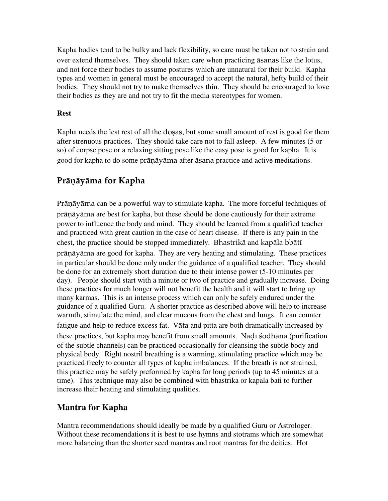Kapha bodies tend to be bulky and lack flexibility, so care must be taken not to strain and over extend themselves. They should taken care when practicing äsanas like the lotus, and not force their bodies to assume postures which are unnatural for their build. Kapha types and women in general must be encouraged to accept the natural, hefty build of their bodies. They should not try to make themselves thin. They should be encouraged to love their bodies as they are and not try to fit the media stereotypes for women.

#### **Rest**

Kapha needs the lest rest of all the dosas, but some small amount of rest is good for them after strenuous practices. They should take care not to fall asleep. A few minutes (5 or so) of corpse pose or a relaxing sitting pose like the easy pose is good for kapha. It is good for kapha to do some prānāyāma after āsana practice and active meditations.

# Prāņāyāma for Kapha

Prāņāyāma can be a powerful way to stimulate kapha. The more forceful techniques of prāņāyāma are best for kapha, but these should be done cautiously for their extreme power to influence the body and mind. They should be learned from a qualified teacher and practiced with great caution in the case of heart disease. If there is any pain in the chest, the practice should be stopped immediately. Bhastrikā and kapāla bbātī prāņāyāma are good for kapha. They are very heating and stimulating. These practices in particular should be done only under the guidance of a qualified teacher. They should be done for an extremely short duration due to their intense power (5-10 minutes per day). People should start with a minute or two of practice and gradually increase. Doing these practices for much longer will not benefit the health and it will start to bring up many karmas. This is an intense process which can only be safely endured under the guidance of a qualified Guru. A shorter practice as described above will help to increase warmth, stimulate the mind, and clear mucous from the chest and lungs. It can counter fatigue and help to reduce excess fat. Väta and pitta are both dramatically increased by these practices, but kapha may benefit from small amounts. Nāḍī śodhana (purification of the subtle channels) can be practiced occasionally for cleansing the subtle body and physical body. Right nostril breathing is a warming, stimulating practice which may be practiced freely to counter all types of kapha imbalances. If the breath is not strained, this practice may be safely preformed by kapha for long periods (up to 45 minutes at a time). This technique may also be combined with bhastrika or kapala bati to further increase their heating and stimulating qualities.

# **Mantra for Kapha**

Mantra recommendations should ideally be made by a qualified Guru or Astrologer. Without these recomendations it is best to use hymns and stotrams which are somewhat more balancing than the shorter seed mantras and root mantras for the deities. Hot